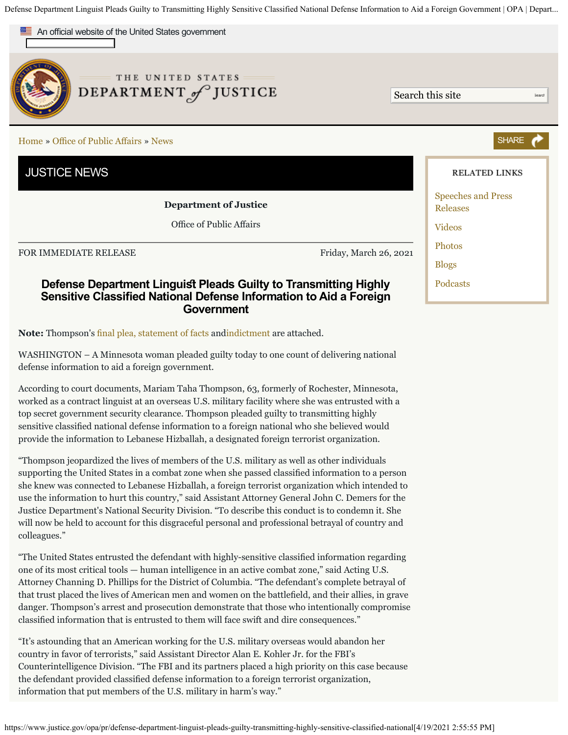Defense Department Linguist Pleads Guilty to Transmitting Highly Sensitive Classified National Defense Information to Aid a Foreign Government | OPA | Depart...



WASHINGTON – A Minnesota woman pleaded guilty today to one count of delivering national defense information to aid a foreign government.

According to court documents, Mariam Taha Thompson, 63, formerly of Rochester, Minnesota, worked as a contract linguist at an overseas U.S. military facility where she was entrusted with a top secret government security clearance. Thompson pleaded guilty to transmitting highly sensitive classifed national defense information to a foreign national who she believed would provide the information to Lebanese Hizballah, a designated foreign terrorist organization.

"Thompson jeopardized the lives of members of the U.S. military as well as other individuals supporting the United States in a combat zone when she passed classifed information to a person she knew was connected to Lebanese Hizballah, a foreign terrorist organization which intended to use the information to hurt this country," said Assistant Attorney General John C. Demers for the Justice Department's National Security Division. "To describe this conduct is to condemn it. She will now be held to account for this disgraceful personal and professional betrayal of country and colleagues."

"The United States entrusted the defendant with highly-sensitive classifed information regarding one of its most critical tools — human intelligence in an active combat zone," said Acting U.S. Attorney Channing D. Phillips for the District of Columbia. "The defendant's complete betrayal of that trust placed the lives of American men and women on the battlefeld, and their allies, in grave danger. Thompson's arrest and prosecution demonstrate that those who intentionally compromise classifed information that is entrusted to them will face swift and dire consequences."

"It's astounding that an American working for the U.S. military overseas would abandon her country in favor of terrorists," said Assistant Director Alan E. Kohler Jr. for the FBI's Counterintelligence Division. "The FBI and its partners placed a high priority on this case because the defendant provided classifed defense information to a foreign terrorist organization, information that put members of the U.S. military in harm's way."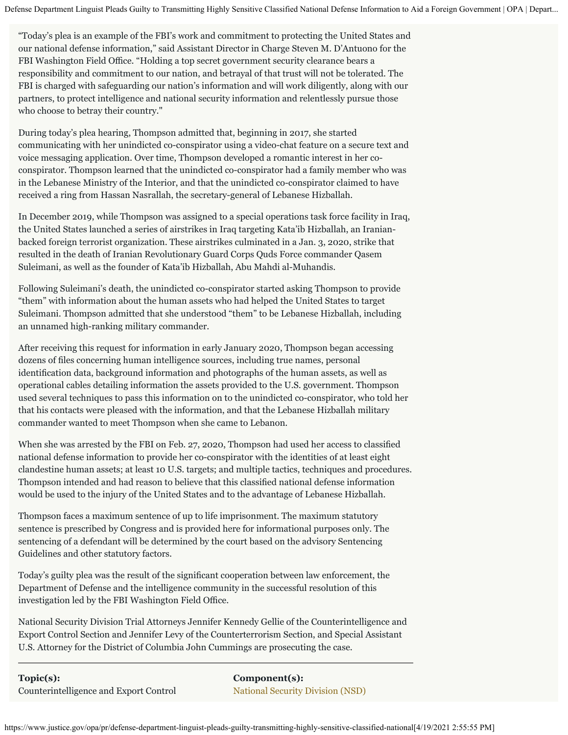Defense Department Linguist Pleads Guilty to Transmitting Highly Sensitive Classified National Defense Information to Aid a Foreign Government | OPA | Depart...

"Today's plea is an example of the FBI's work and commitment to protecting the United States and our national defense information," said Assistant Director in Charge Steven M. D'Antuono for the FBI Washington Field Office. "Holding a top secret government security clearance bears a responsibility and commitment to our nation, and betrayal of that trust will not be tolerated. The FBI is charged with safeguarding our nation's information and will work diligently, along with our partners, to protect intelligence and national security information and relentlessly pursue those who choose to betray their country."

During today's plea hearing, Thompson admitted that, beginning in 2017, she started communicating with her unindicted co-conspirator using a video-chat feature on a secure text and voice messaging application. Over time, Thompson developed a romantic interest in her coconspirator. Thompson learned that the unindicted co-conspirator had a family member who was in the Lebanese Ministry of the Interior, and that the unindicted co-conspirator claimed to have received a ring from Hassan Nasrallah, the secretary-general of Lebanese Hizballah.

In December 2019, while Thompson was assigned to a special operations task force facility in Iraq, the United States launched a series of airstrikes in Iraq targeting Kata'ib Hizballah, an Iranianbacked foreign terrorist organization. These airstrikes culminated in a Jan. 3, 2020, strike that resulted in the death of Iranian Revolutionary Guard Corps Quds Force commander Qasem Suleimani, as well as the founder of Kata'ib Hizballah, Abu Mahdi al-Muhandis.

Following Suleimani's death, the unindicted co-conspirator started asking Thompson to provide "them" with information about the human assets who had helped the United States to target Suleimani. Thompson admitted that she understood "them" to be Lebanese Hizballah, including an unnamed high-ranking military commander.

After receiving this request for information in early January 2020, Thompson began accessing dozens of fles concerning human intelligence sources, including true names, personal identifcation data, background information and photographs of the human assets, as well as operational cables detailing information the assets provided to the U.S. government. Thompson used several techniques to pass this information on to the unindicted co-conspirator, who told her that his contacts were pleased with the information, and that the Lebanese Hizballah military commander wanted to meet Thompson when she came to Lebanon.

When she was arrested by the FBI on Feb. 27, 2020, Thompson had used her access to classifed national defense information to provide her co-conspirator with the identities of at least eight clandestine human assets; at least 10 U.S. targets; and multiple tactics, techniques and procedures. Thompson intended and had reason to believe that this classifed national defense information would be used to the injury of the United States and to the advantage of Lebanese Hizballah.

Thompson faces a maximum sentence of up to life imprisonment. The maximum statutory sentence is prescribed by Congress and is provided here for informational purposes only. The sentencing of a defendant will be determined by the court based on the advisory Sentencing Guidelines and other statutory factors.

Today's guilty plea was the result of the signifcant cooperation between law enforcement, the Department of Defense and the intelligence community in the successful resolution of this investigation led by the FBI Washington Field Office.

National Security Division Trial Attorneys Jennifer Kennedy Gellie of the Counterintelligence and Export Control Section and Jennifer Levy of the Counterterrorism Section, and Special Assistant U.S. Attorney for the District of Columbia John Cummings are prosecuting the case.

**Topic(s):** Counterintelligence and Export Control **Component(s):** [National Security Division \(NSD\)](https://www.justice.gov/nsd)